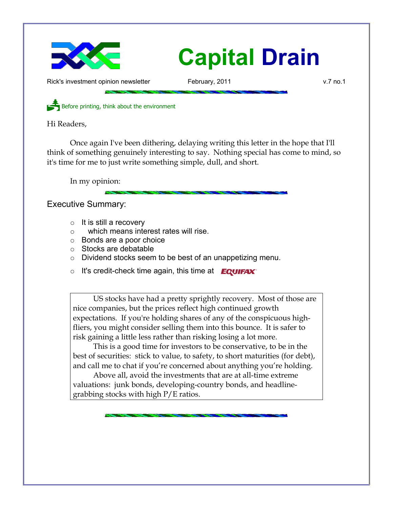

Rick's investment opinion newsletter February, 2011 **February, 2011** v.7 no.1

Before printing, think about the environment

Hi Readers,

Once again I've been dithering, delaying writing this letter in the hope that I'll think of something genuinely interesting to say. Nothing special has come to mind, so it's time for me to just write something simple, dull, and short.

In my opinion:

Executive Summary:

- $\circ$  It is still a recovery
- which means interest rates will rise.
- Bonds are a poor choice
- Stocks are debatable
- Dividend stocks seem to be best of an unappetizing menu.
- o It's credit-check time again, this time at **EQUIFAX**

US stocks have had a pretty sprightly recovery. Most of those are nice companies, but the prices reflect high continued growth expectations. If you're holding shares of any of the conspicuous highfliers, you might consider selling them into this bounce. It is safer to risk gaining a little less rather than risking losing a lot more.

This is a good time for investors to be conservative, to be in the best of securities: stick to value, to safety, to short maturities (for debt), and call me to chat if you're concerned about anything you're holding.

Above all, avoid the investments that are at all-time extreme valuations: junk bonds, developing-country bonds, and headlinegrabbing stocks with high P/E ratios.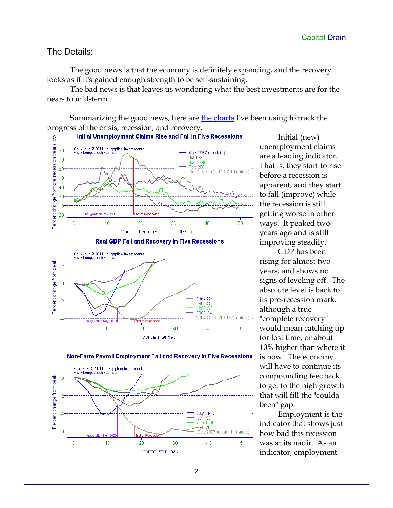# The Details:

The good news is that the economy is definitely expanding, and the recovery looks as if it's gained enough strength to be self-sustaining.

The bad news is that leaves us wondering what the best investments are for the near- to mid-term.

Summarizing the good news, here are [the charts](http://www.longspliceinvest.com/econCharts.shtml#Recovery) I've been using to track the progress of the crisis, recession, and recovery.











Initial (new) unemployment claims are a leading indicator. That is, they start to rise before a recession is apparent, and they start to fall (improve) while the recession is still getting worse in other ways. It peaked two years ago and is still improving steadily.

GDP has been rising for almost two years, and shows no signs of leveling off. The absolute level is back to its pre-recession mark, although a true "complete recovery" would mean catching up for lost time, or about 10% higher than where it is now. The economy will have to continue its compounding feedback to get to the high growth that will fill the "coulda been" gap.

Employment is the indicator that shows just how bad this recession was at its nadir. As an indicator, employment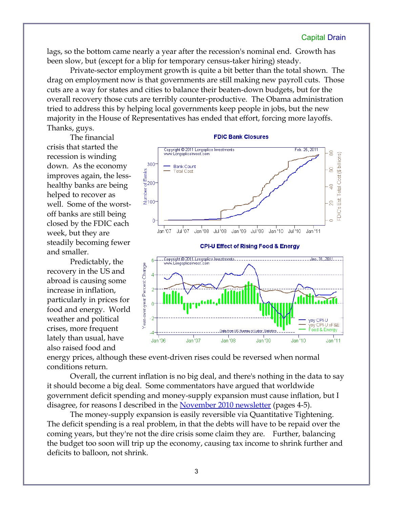lags, so the bottom came nearly a year after the recession's nominal end. Growth has been slow, but (except for a blip for temporary census-taker hiring) steady.

Private-sector employment growth is quite a bit better than the total shown. The drag on employment now is that governments are still making new payroll cuts. Those cuts are a way for states and cities to balance their beaten-down budgets, but for the overall recovery those cuts are terribly counter-productive. The Obama administration tried to address this by helping local governments keep people in jobs, but the new majority in the House of Representatives has ended that effort, forcing more layoffs. Thanks, guys.

The financial crisis that started the recession is winding down. As the economy improves again, the lesshealthy banks are being helped to recover as well. Some of the worstoff banks are still being closed by the FDIC each week, but they are steadily becoming fewer and smaller.

Predictably, the recovery in the US and abroad is causing some increase in inflation, particularly in prices for food and energy. World weather and political crises, more frequent lately than usual, have also raised food and



energy prices, although these event-driven rises could be reversed when normal conditions return.

Overall, the current inflation is no big deal, and there's nothing in the data to say it should become a big deal. Some commentators have argued that worldwide government deficit spending and money-supply expansion must cause inflation, but I disagree, for reasons I described in the <u>November 2010 newsletter</u> (pages 4-5).

The money-supply expansion is easily reversible via Quantitative Tightening. The deficit spending is a real problem, in that the debts will have to be repaid over the coming years, but they're not the dire crisis some claim they are. Further, balancing the budget too soon will trip up the economy, causing tax income to shrink further and deficits to balloon, not shrink.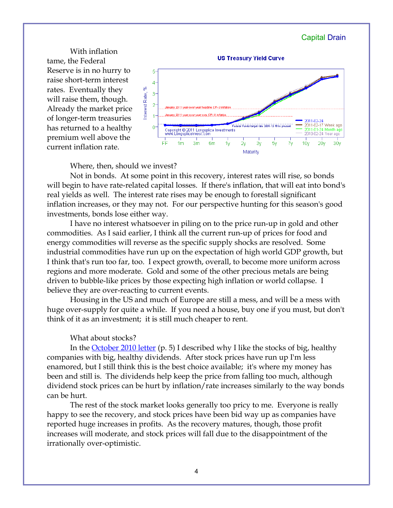With inflation tame, the Federal Reserve is in no hurry to raise short-term interest rates. Eventually they will raise them, though. Already the market price of longer-term treasuries has returned to a healthy premium well above the current inflation rate.



Where, then, should we invest?

Not in bonds. At some point in this recovery, interest rates will rise, so bonds will begin to have rate-related capital losses. If there's inflation, that will eat into bond's real yields as well. The interest rate rises may be enough to forestall significant inflation increases, or they may not. For our perspective hunting for this season's good investments, bonds lose either way.

I have no interest whatsoever in piling on to the price run-up in gold and other commodities. As I said earlier, I think all the current run-up of prices for food and energy commodities will reverse as the specific supply shocks are resolved. Some industrial commodities have run up on the expectation of high world GDP growth, but I think that's run too far, too. I expect growth, overall, to become more uniform across regions and more moderate. Gold and some of the other precious metals are being driven to bubble-like prices by those expecting high inflation or world collapse. I believe they are over-reacting to current events.

Housing in the US and much of Europe are still a mess, and will be a mess with huge over-supply for quite a while. If you need a house, buy one if you must, but don't think of it as an investment; it is still much cheaper to rent.

### What about stocks?

In the [October 2010 letter](http://www.longspliceinvest.com/CapDrain/CapDrain_v6n3.pdf) (p. 5) I described why I like the stocks of big, healthy companies with big, healthy dividends. After stock prices have run up I'm less enamored, but I still think this is the best choice available; it's where my money has been and still is. The dividends help keep the price from falling too much, although dividend stock prices can be hurt by inflation/rate increases similarly to the way bonds can be hurt.

The rest of the stock market looks generally too pricy to me. Everyone is really happy to see the recovery, and stock prices have been bid way up as companies have reported huge increases in profits. As the recovery matures, though, those profit increases will moderate, and stock prices will fall due to the disappointment of the irrationally over-optimistic.